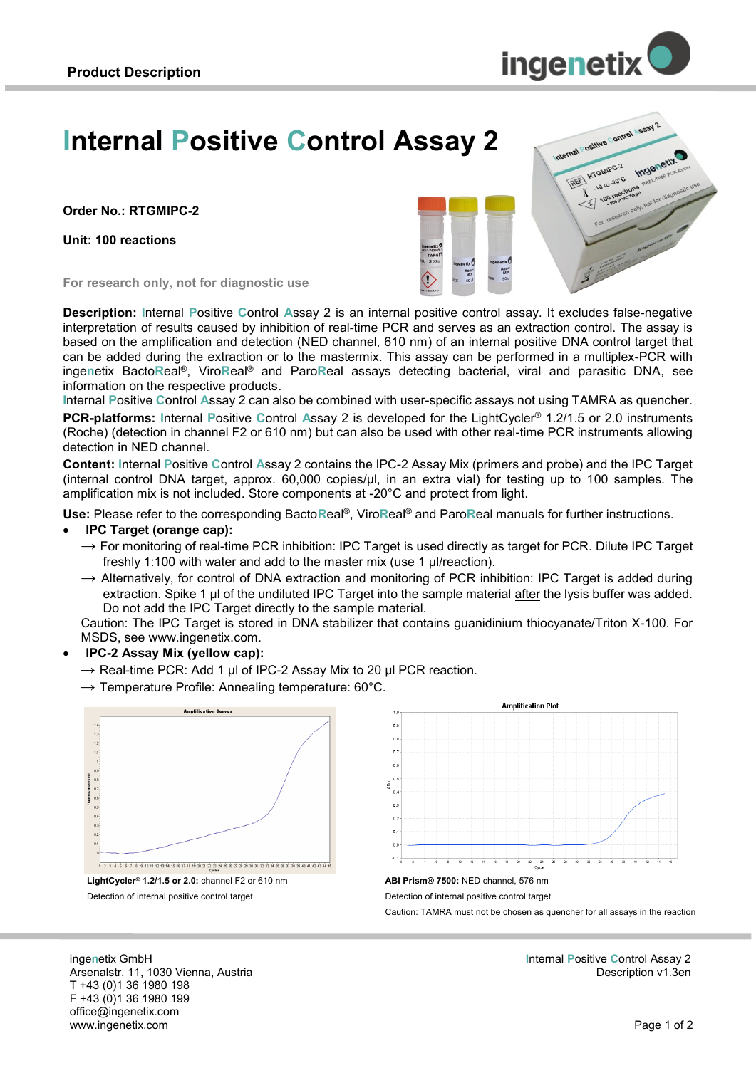

# **Internal Positive Control Assay 2**

**Order No.: RTGMIPC-2**

**Unit: 100 reactions**



**For research only, not for diagnostic use**

**Description: I**nternal **P**ositive **C**ontrol **A**ssay 2 is an internal positive control assay. It excludes false-negative interpretation of results caused by inhibition of real-time PCR and serves as an extraction control. The assay is based on the amplification and detection (NED channel, 610 nm) of an internal positive DNA control target that can be added during the extraction or to the mastermix. This assay can be performed in a multiplex-PCR with inge**n**etix Bacto**R**eal®, Viro**R**eal® and Paro**R**eal assays detecting bacterial, viral and parasitic DNA, see information on the respective products.

**I**nternal **P**ositive **C**ontrol **A**ssay 2 can also be combined with user-specific assays not using TAMRA as quencher. **PCR-platforms: I**nternal **P**ositive **C**ontrol **A**ssay 2 is developed for the LightCycler® 1.2/1.5 or 2.0 instruments (Roche) (detection in channel F2 or 610 nm) but can also be used with other real-time PCR instruments allowing detection in NED channel.

**Content: I**nternal **P**ositive **C**ontrol **A**ssay 2 contains the IPC-2 Assay Mix (primers and probe) and the IPC Target (internal control DNA target, approx. 60,000 copies/µl, in an extra vial) for testing up to 100 samples. The amplification mix is not included. Store components at -20°C and protect from light.

**Use:** Please refer to the corresponding Bacto**R**eal®, Viro**R**eal® and Paro**R**eal manuals for further instructions.

#### **IPC Target (orange cap):**

- $\rightarrow$  For monitoring of real-time PCR inhibition: IPC Target is used directly as target for PCR. Dilute IPC Target freshly 1:100 with water and add to the master mix (use 1 µl/reaction).
- $\rightarrow$  Alternatively, for control of DNA extraction and monitoring of PCR inhibition: IPC Target is added during extraction. Spike 1 µl of the undiluted IPC Target into the sample material after the lysis buffer was added. Do not add the IPC Target directly to the sample material.

Caution: The IPC Target is stored in DNA stabilizer that contains guanidinium thiocyanate/Triton X-100. For MSDS, see www.ingenetix.com.

- **IPC-2 Assay Mix (yellow cap):** 
	- $\rightarrow$  Real-time PCR: Add 1 µl of IPC-2 Assay Mix to 20 µl PCR reaction.
	- $\rightarrow$  Temperature Profile: Annealing temperature: 60°C.



**LightCycler® 1.2/1.5 or 2.0:** channel F2 or 610 nm Detection of internal positive control target



**ABI Prism® 7500:** NED channel, 576 nm Detection of internal positive control target Caution: TAMRA must not be chosen as quencher for all assays in the reaction

inge**n**etix GmbH Arsenalstr. 11, 1030 Vienna, Austria T +43 (0)1 36 1980 198 F +43 (0)1 36 1980 199 office@ingenetix.com www.ingenetix.com

**I**nternal **P**ositive **C**ontrol Assay 2 Description v1.3en